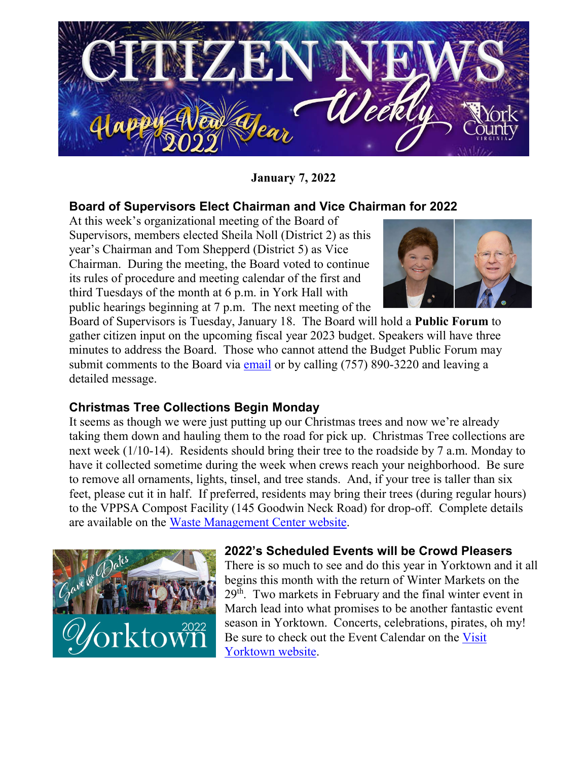

**January 7, 2022**

### **Board of Supervisors Elect Chairman and Vice Chairman for 2022**

At this week's organizational meeting of the Board of Supervisors, members elected Sheila Noll (District 2) as this year's Chairman and Tom Shepperd (District 5) as Vice Chairman. During the meeting, the Board voted to continue its rules of procedure and meeting calendar of the first and third Tuesdays of the month at 6 p.m. in York Hall with public hearings beginning at 7 p.m. The next meeting of the



Board of Supervisors is Tuesday, January 18. The Board will hold a **Public Forum** to gather citizen input on the upcoming fiscal year 2023 budget. Speakers will have three minutes to address the Board. Those who cannot attend the Budget Public Forum may submit comments to the Board via [email](mailto:bos@yorkcounty.gov) or by calling (757) 890-3220 and leaving a detailed message.

#### **Christmas Tree Collections Begin Monday**

It seems as though we were just putting up our Christmas trees and now we're already taking them down and hauling them to the road for pick up. Christmas Tree collections are next week (1/10-14). Residents should bring their tree to the roadside by 7 a.m. Monday to have it collected sometime during the week when crews reach your neighborhood. Be sure to remove all ornaments, lights, tinsel, and tree stands. And, if your tree is taller than six feet, please cut it in half. If preferred, residents may bring their trees (during regular hours) to the VPPSA Compost Facility (145 Goodwin Neck Road) for drop-off. Complete details are available on the [Waste Management Center website.](https://www.yorkcounty.gov/CivicAlerts.aspx?AID=2320)



#### **2022's Scheduled Events will be Crowd Pleasers**

There is so much to see and do this year in Yorktown and it all begins this month with the return of Winter Markets on the 29<sup>th</sup>. Two markets in February and the final winter event in March lead into what promises to be another fantastic event season in Yorktown. Concerts, celebrations, pirates, oh my! Be sure to check out the Event Calendar on the [Visit](https://www.visityorktown.org/DocumentCenter/View/5722/2022-Events-Calendar-Poster)  [Yorktown website.](https://www.visityorktown.org/DocumentCenter/View/5722/2022-Events-Calendar-Poster)